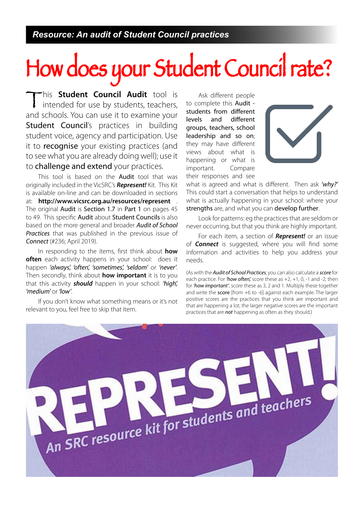# How does your Student Council rate?

This **Student Council Audit** tool is intended for use by students, teachers, and schools. You can use it to examine your Student Council's practices in building student voice, agency and participation. Use it to **recognise** your existing practices (and to see what you are already doing well); use it to challenge and extend your practices.

This tool is based on the **Audit** tool that was originally included in the VicSRC's **Represent!** Kit. This Kit is available on-line and can be downloaded in sections at: **http://www.vicsrc.org.au/resources/represent** . The original Audit is Section 1.7 in Part 1 on pages 45 to 49. This specific Audit about Student Councils is also based on the more general and broader Audit of School Practices that was published in the previous issue of Connect (#236; April 2019).

In responding to the items, first think about **how often** each activity happens in your school: does it happen 'always', 'often', 'sometimes', 'seldom' or 'never'. Then secondly, think about **how important** it is to you that this activity **should** happen in your school: 'high', 'medium' or 'low'.

If you don't know what something means or it's not relevant to you, feel free to skip that item.

Ask different people to complete this Audit students from different levels and different groups, teachers, school leadership and so on; they may have different views about what is happening or what is important. Compare their responses and see



what is agreed and what is different. Then ask 'why?' This could start a conversation that helps to understand what is actually happening in your school: where your strengths are, and what you can develop further.

Look for patterns: eg the practices that are seldom or never occurring, but that you think are highly important.

For each item, a section of **Represent!** or an issue of **Connect** is suggested, where you will find some information and activities to help you address your needs.

(As with the **Audit of School Practices**, you can also calculate a score for each practice. For 'how often', score these as  $+2$ ,  $+1$ , 0,  $-1$  and  $-2$ ; then for 'how important', score these as 3, 2 and 1. Multiply these together and write the score [from +6 to -6] against each example. The larger positive scores are the practices that you think are important and that are happening a lot; the larger negative scores are the important practices that are not happening as often as they should.)

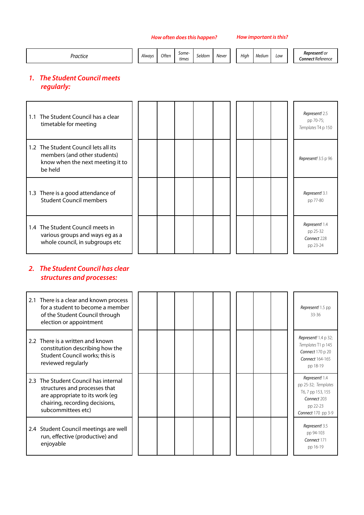| ,,,,,,,,, |  | Alwavs | Often | Some-<br>times | $\sim$ $\sim$<br>Seldom | Nevel<br>___ |  | Hiah | Medium<br>. | Low |  | <b>Represent!</b> or<br>C <b>onnect</b> Reterence |
|-----------|--|--------|-------|----------------|-------------------------|--------------|--|------|-------------|-----|--|---------------------------------------------------|
|-----------|--|--------|-------|----------------|-------------------------|--------------|--|------|-------------|-----|--|---------------------------------------------------|

# **1. The Student Council meets regularly:**

| 1.1 The Student Council has a clear<br>timetable for meeting                                                        |  |  |  |  |  | Represent! 2.5<br>pp 70-75;<br>Templates T4 p 150     |
|---------------------------------------------------------------------------------------------------------------------|--|--|--|--|--|-------------------------------------------------------|
| 1.2 The Student Council lets all its<br>members (and other students)<br>know when the next meeting it to<br>be held |  |  |  |  |  | Represent! 3.5 p 96                                   |
| 1.3 There is a good attendance of<br><b>Student Council members</b>                                                 |  |  |  |  |  | Represent! 3.1<br>pp 77-80                            |
| 1.4 The Student Council meets in<br>various groups and ways eg as a<br>whole council, in subgroups etc              |  |  |  |  |  | Represent! 1.4<br>pp 25-32<br>Connect 228<br>pp 23-24 |

# **2. The Student Council has clear structures and processes:**

| 2.1 There is a clear and known process<br>for a student to become a member<br>of the Student Council through<br>election or appointment                          |  |  |  |  |  | Represent! 1.5 pp<br>33-36                                                                                  |
|------------------------------------------------------------------------------------------------------------------------------------------------------------------|--|--|--|--|--|-------------------------------------------------------------------------------------------------------------|
| 2.2 There is a written and known<br>constitution describing how the<br>Student Council works; this is<br>reviewed regularly                                      |  |  |  |  |  | <b>Represent!</b> 1.4 p 32;<br>Templates T1 p 145<br><b>Connect 170 p 20</b><br>Connect 164-165<br>pp 18-19 |
| 2.3 The Student Council has internal<br>structures and processes that<br>are appropriate to its work (eq<br>chairing, recording decisions,<br>subcommittees etc) |  |  |  |  |  | Represent! 1.4<br>pp 25-32; Templates<br>T6, 7 pp 153, 155<br>Connect 203<br>pp 22-23<br>Connect 170 pp 3-9 |
| 2.4 Student Council meetings are well<br>run, effective (productive) and<br>enjoyable                                                                            |  |  |  |  |  | Represent! 3.5<br>pp 94-103<br>Connect 171<br>pp 16-19                                                      |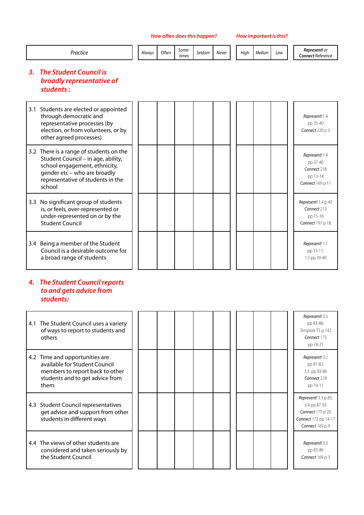| Jracter<br>וענוונג - |  | Always | Often | Some-<br>times | seldom | Never |  | Hiah | Medium | Low |  | <b>Represent!</b> or<br><b>Connect</b> Reference |
|----------------------|--|--------|-------|----------------|--------|-------|--|------|--------|-----|--|--------------------------------------------------|
|----------------------|--|--------|-------|----------------|--------|-------|--|------|--------|-----|--|--------------------------------------------------|

# **3. The Student Council is broadly representative of students :**

| 3.1 Students are elected or appointed<br>through democratic and<br>representative processes (by<br>election, or from volunteers, or by<br>other agreed processes)                             |  |  |  |  | Represent! 1.4<br>pp 35-40<br>Connect 220 p 3                             |
|-----------------------------------------------------------------------------------------------------------------------------------------------------------------------------------------------|--|--|--|--|---------------------------------------------------------------------------|
| 3.2 There is a range of students on the<br>Student Council - in age, ability,<br>school engagement, ethnicity,<br>gender etc - who are broadly<br>representative of students in the<br>school |  |  |  |  | Represent! 1.4<br>pp 37-40<br>Connect 218<br>pp 13-14<br>Connect 169 p 11 |
| 3.3 No significant group of students<br>is, or feels, over-represented or<br>under-represented on or by the<br><b>Student Council</b>                                                         |  |  |  |  | Represent! 1.4 p 40<br>Connect 213<br>pp 15-16<br>Connect 197 p 18        |
| 3.4 Being a member of the Student<br>Council is a desirable outcome for<br>a broad range of students                                                                                          |  |  |  |  | Represent! 1.1<br>pp 13-17;<br>1.5 pp 39-40                               |

## **4. The Student Council reports to and gets advice from students:**

| 4.1 The Student Council uses a variety<br>of ways to report to students and<br>others                                                         |  |  |  |  |  | Represent! 3.3<br>pp 83-86;<br>Template T5 p 142<br>Connect 173<br>pp 18-21                                       |
|-----------------------------------------------------------------------------------------------------------------------------------------------|--|--|--|--|--|-------------------------------------------------------------------------------------------------------------------|
| 4.2 Time and opportunities are<br>available for Student Council<br>members to report back to other<br>students and to get advice from<br>them |  |  |  |  |  | Represent! 3.2<br>pp 81-82;<br>3.3 pp 83-86<br>Connect 218<br>pp 10-11                                            |
| 4.3 Student Council representatives<br>get advice and support from other<br>students in different ways                                        |  |  |  |  |  | <b>Represent!</b> 3.3 p 85;<br>3.4 pp 87-93<br><b>Connect</b> 179 p 20<br>Connect 172 pp 14-17<br>Connect 169 p 9 |
| 4.4 The views of other students are<br>considered and taken seriously by<br>the Student Council                                               |  |  |  |  |  | Represent! 3.3<br>pp 83-86<br>Connect 169 p 3                                                                     |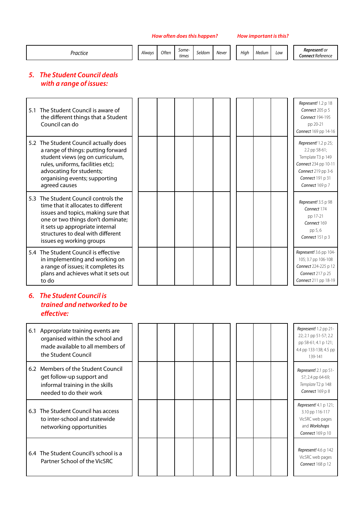| Practice | Always | Often | Some-<br>times | Seldom | Never | Hiah | Medium | Low | <b>Represent!</b> or<br><b>Connect Reference</b> |
|----------|--------|-------|----------------|--------|-------|------|--------|-----|--------------------------------------------------|
|          |        |       |                |        |       |      |        |     |                                                  |

# **5. The Student Council deals with a range of issues:**

| 5.1 The Student Council is aware of<br>the different things that a Student<br>Council can do                                                                                                                                                                |  |  |  |  |  | Represent! 1.2 p 18<br><b>Connect</b> 205 p 5<br>Connect 194-195<br>pp 20-21<br>Connect 169 pp 14-16                                            |
|-------------------------------------------------------------------------------------------------------------------------------------------------------------------------------------------------------------------------------------------------------------|--|--|--|--|--|-------------------------------------------------------------------------------------------------------------------------------------------------|
| 5.2 The Student Council actually does<br>a range of things: putting forward<br>student views (eg on curriculum,<br>rules, uniforms, facilities etc);<br>advocating for students;<br>organising events; supporting<br>agreed causes                          |  |  |  |  |  | Represent! 1.2 p 25;<br>2.2 pp 58-61;<br>Template T3 p 149<br>Connect 234 pp 10-11<br>Connect 219 pp 3-6<br>Connect 191 p 31<br>Connect 169 p 7 |
| 5.3 The Student Council controls the<br>time that it allocates to different<br>issues and topics, making sure that<br>one or two things don't dominate;<br>it sets up appropriate internal<br>structures to deal with different<br>issues eg working groups |  |  |  |  |  | Represent! 3.5 p 98<br>Connect 174<br>pp 17-21<br>Connect 169<br>pp 5,6<br>Connect 151 p 3                                                      |
| 5.4 The Student Council is effective<br>in implementing and working on<br>a range of issues; it completes its<br>plans and achieves what it sets out<br>to do                                                                                               |  |  |  |  |  | Represent! 3.6 pp 104-<br>105; 3.7 pp 106-108<br>Connect 224-225 p 12<br><b>Connect</b> 217 p 25<br>Connect 211 pp 18-19                        |

# **6. The Student Council is trained and networked to be effective:**

| 6.1 Appropriate training events are<br>organised within the school and<br>made available to all members of<br>the Student Council |  |  |  |  |  | Represent! 1.2 pp 21-<br>22; 2.1 pp 51-57; 2.2<br>pp 58-61; 4.1 p 121;<br>4.4 pp 133-138; 4.5 pp<br>139-141 |
|-----------------------------------------------------------------------------------------------------------------------------------|--|--|--|--|--|-------------------------------------------------------------------------------------------------------------|
| 6.2 Members of the Student Council<br>get follow-up support and<br>informal training in the skills<br>needed to do their work     |  |  |  |  |  | Represent! 2.1 pp 51-<br>57; 2.4 pp 64-69;<br>Template T2 p 148<br>Connect 169 p 8                          |
| 6.3 The Student Council has access<br>to inter-school and statewide<br>networking opportunities                                   |  |  |  |  |  | Represent! 4.1 p 121;<br>3.10 pp 116-117<br>VicSRC web pages<br>and Workshops<br><b>Connect</b> 169 p 10    |
| 6.4 The Student Council's school is a<br>Partner School of the VicSRC                                                             |  |  |  |  |  | Represent! 4.6 p 142<br>VicSRC web pages<br>Connect 168 p 12                                                |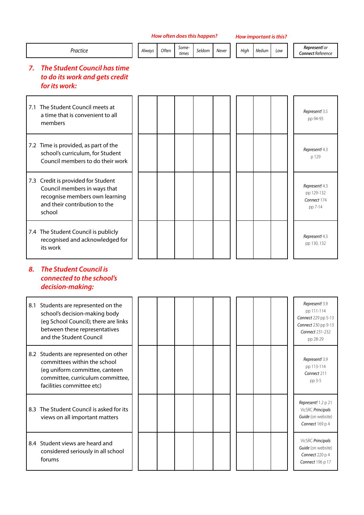| Practice                                                                                                                                                                 | Always | Often | Some-<br>times | Seldom | Never | High | Medium | Low | Represent! or<br><b>Connect Reference</b>                                                                        |
|--------------------------------------------------------------------------------------------------------------------------------------------------------------------------|--------|-------|----------------|--------|-------|------|--------|-----|------------------------------------------------------------------------------------------------------------------|
| <b>The Student Council has time</b><br>7.<br>to do its work and gets credit<br>for its work:                                                                             |        |       |                |        |       |      |        |     |                                                                                                                  |
| 7.1 The Student Council meets at<br>a time that is convenient to all<br>members                                                                                          |        |       |                |        |       |      |        |     | Represent! 3.5<br>pp 94-95                                                                                       |
| 7.2 Time is provided, as part of the<br>school's curriculum, for Student<br>Council members to do their work                                                             |        |       |                |        |       |      |        |     | Represent! 4.3<br>p 129                                                                                          |
| 7.3 Credit is provided for Student<br>Council members in ways that<br>recognise members own learning<br>and their contribution to the<br>school                          |        |       |                |        |       |      |        |     | Represent! 4.3<br>pp 129-132<br>Connect 174<br>pp 7-14                                                           |
| 7.4 The Student Council is publicly<br>recognised and acknowledged for<br>its work                                                                                       |        |       |                |        |       |      |        |     | Represent! 4.3<br>pp 130, 132                                                                                    |
| <b>The Student Council is</b><br>8.<br>connected to the school's<br>decision-making:                                                                                     |        |       |                |        |       |      |        |     |                                                                                                                  |
| 8.1 Students are represented on the<br>school's decision-making body<br>(eg School Council); there are links<br>between these representatives<br>and the Student Council |        |       |                |        |       |      |        |     | Represent! 3.9<br>pp 111-114<br>Connect 229 pp 5-13<br>Connect 230 pp 9-13<br><b>Connect 231-232</b><br>pp 28-29 |
| 8.2 Students are represented on other<br>committees within the school<br>(eg uniform committee, canteen<br>committee, curriculum committee,<br>facilities committee etc) |        |       |                |        |       |      |        |     | Represent! 3.9<br>pp 113-114<br>Connect 211<br>pp 3-5                                                            |
| 8.3 The Student Council is asked for its<br>views on all important matters                                                                                               |        |       |                |        |       |      |        |     | Represent! 1.2 p 21<br>VicSRC Principals<br>Guide (on website)<br>Connect 169 p 4                                |
| 8.4 Student views are heard and                                                                                                                                          |        |       |                |        |       |      |        |     | VicSRC Principals                                                                                                |

considered seriously in all school

forums

Guide (on website) Connect 220 p 4 Connect 196 p 17